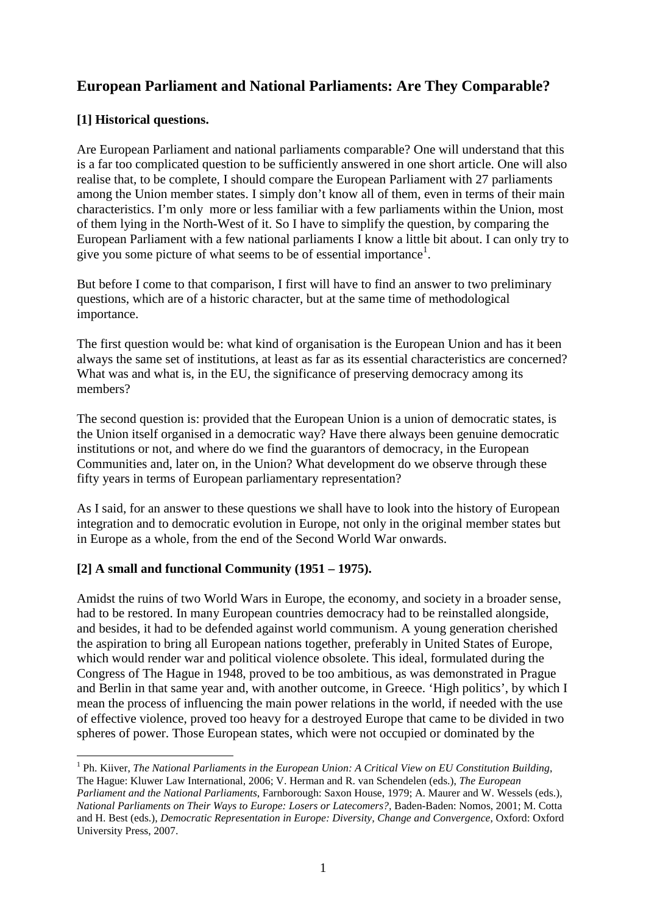# **European Parliament and National Parliaments: Are They Comparable?**

## **[1] Historical questions.**

Are European Parliament and national parliaments comparable? One will understand that this is a far too complicated question to be sufficiently answered in one short article. One will also realise that, to be complete, I should compare the European Parliament with 27 parliaments among the Union member states. I simply don't know all of them, even in terms of their main characteristics. I'm only more or less familiar with a few parliaments within the Union, most of them lying in the North-West of it. So I have to simplify the question, by comparing the European Parliament with a few national parliaments I know a little bit about. I can only try to give you some picture of what seems to be of essential importance<sup>1</sup>.

But before I come to that comparison, I first will have to find an answer to two preliminary questions, which are of a historic character, but at the same time of methodological importance.

The first question would be: what kind of organisation is the European Union and has it been always the same set of institutions, at least as far as its essential characteristics are concerned? What was and what is, in the EU, the significance of preserving democracy among its members?

The second question is: provided that the European Union is a union of democratic states, is the Union itself organised in a democratic way? Have there always been genuine democratic institutions or not, and where do we find the guarantors of democracy, in the European Communities and, later on, in the Union? What development do we observe through these fifty years in terms of European parliamentary representation?

As I said, for an answer to these questions we shall have to look into the history of European integration and to democratic evolution in Europe, not only in the original member states but in Europe as a whole, from the end of the Second World War onwards.

# **[2] A small and functional Community (1951 – 1975).**

Amidst the ruins of two World Wars in Europe, the economy, and society in a broader sense, had to be restored. In many European countries democracy had to be reinstalled alongside, and besides, it had to be defended against world communism. A young generation cherished the aspiration to bring all European nations together, preferably in United States of Europe, which would render war and political violence obsolete. This ideal, formulated during the Congress of The Hague in 1948, proved to be too ambitious, as was demonstrated in Prague and Berlin in that same year and, with another outcome, in Greece. 'High politics', by which I mean the process of influencing the main power relations in the world, if needed with the use of effective violence, proved too heavy for a destroyed Europe that came to be divided in two spheres of power. Those European states, which were not occupied or dominated by the

 $\overline{a}$ <sup>1</sup> Ph. Kiiver, *The National Parliaments in the European Union: A Critical View on EU Constitution Building,* The Hague: Kluwer Law International, 2006; V. Herman and R. van Schendelen (eds.), *The European Parliament and the National Parliaments*, Farnborough: Saxon House, 1979; A. Maurer and W. Wessels (eds.), *National Parliaments on Their Ways to Europe: Losers or Latecomers?,* Baden-Baden: Nomos, 2001; M. Cotta and H. Best (eds.), *Democratic Representation in Europe: Diversity, Change and Convergence*, Oxford: Oxford University Press, 2007.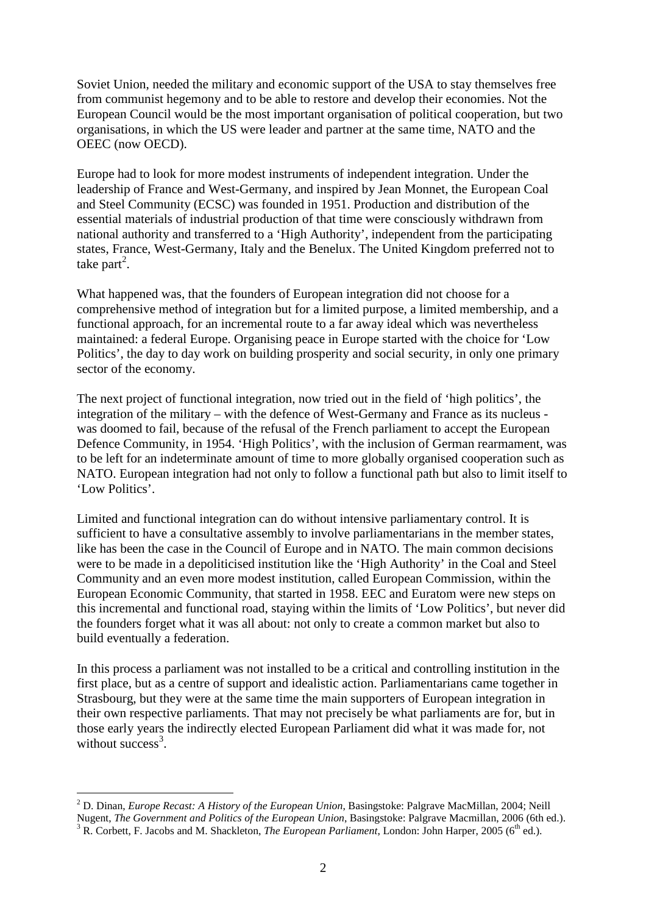Soviet Union, needed the military and economic support of the USA to stay themselves free from communist hegemony and to be able to restore and develop their economies. Not the European Council would be the most important organisation of political cooperation, but two organisations, in which the US were leader and partner at the same time, NATO and the OEEC (now OECD).

Europe had to look for more modest instruments of independent integration. Under the leadership of France and West-Germany, and inspired by Jean Monnet, the European Coal and Steel Community (ECSC) was founded in 1951. Production and distribution of the essential materials of industrial production of that time were consciously withdrawn from national authority and transferred to a 'High Authority', independent from the participating states, France, West-Germany, Italy and the Benelux. The United Kingdom preferred not to take part<sup>2</sup>.

What happened was, that the founders of European integration did not choose for a comprehensive method of integration but for a limited purpose, a limited membership, and a functional approach, for an incremental route to a far away ideal which was nevertheless maintained: a federal Europe. Organising peace in Europe started with the choice for 'Low Politics', the day to day work on building prosperity and social security, in only one primary sector of the economy.

The next project of functional integration, now tried out in the field of 'high politics', the integration of the military – with the defence of West-Germany and France as its nucleus was doomed to fail, because of the refusal of the French parliament to accept the European Defence Community, in 1954. 'High Politics', with the inclusion of German rearmament, was to be left for an indeterminate amount of time to more globally organised cooperation such as NATO. European integration had not only to follow a functional path but also to limit itself to 'Low Politics'.

Limited and functional integration can do without intensive parliamentary control. It is sufficient to have a consultative assembly to involve parliamentarians in the member states, like has been the case in the Council of Europe and in NATO. The main common decisions were to be made in a depoliticised institution like the 'High Authority' in the Coal and Steel Community and an even more modest institution, called European Commission, within the European Economic Community, that started in 1958. EEC and Euratom were new steps on this incremental and functional road, staying within the limits of 'Low Politics', but never did the founders forget what it was all about: not only to create a common market but also to build eventually a federation.

In this process a parliament was not installed to be a critical and controlling institution in the first place, but as a centre of support and idealistic action. Parliamentarians came together in Strasbourg, but they were at the same time the main supporters of European integration in their own respective parliaments. That may not precisely be what parliaments are for, but in those early years the indirectly elected European Parliament did what it was made for, not without success<sup>3</sup>.

<sup>2</sup> D. Dinan, *Europe Recast: A History of the European Union*, Basingstoke: Palgrave MacMillan, 2004; Neill Nugent, *The Government and Politics of the European Union*, Basingstoke: Palgrave Macmillan, 2006 (6th ed.).

 $3 \text{ R}$ . Corbett, F. Jacobs and M. Shackleton, *The European Parliament*, London: John Harper, 2005 (6<sup>th</sup> ed.).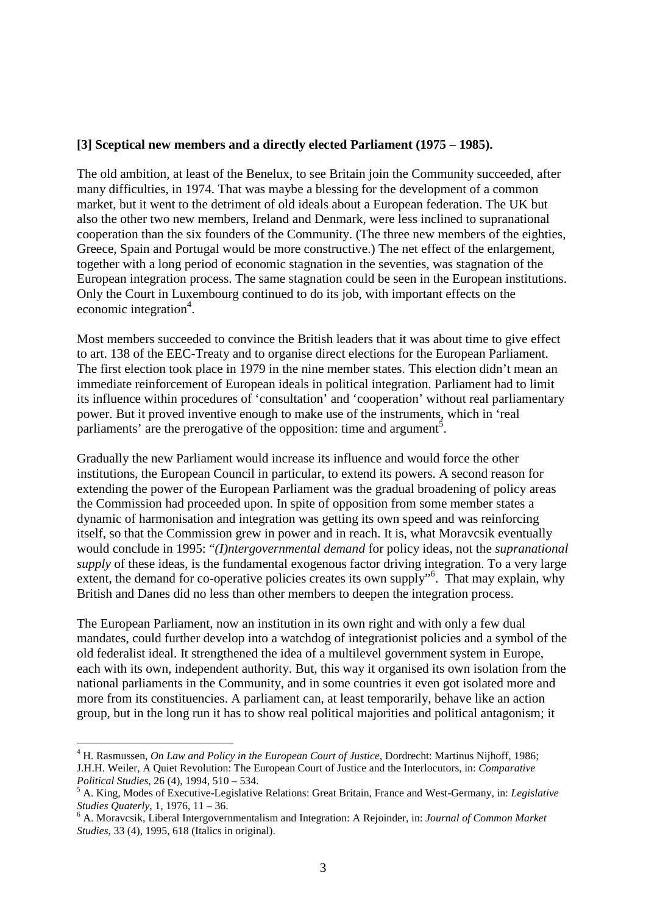#### **[3] Sceptical new members and a directly elected Parliament (1975 – 1985).**

The old ambition, at least of the Benelux, to see Britain join the Community succeeded, after many difficulties, in 1974. That was maybe a blessing for the development of a common market, but it went to the detriment of old ideals about a European federation. The UK but also the other two new members, Ireland and Denmark, were less inclined to supranational cooperation than the six founders of the Community. (The three new members of the eighties, Greece, Spain and Portugal would be more constructive.) The net effect of the enlargement, together with a long period of economic stagnation in the seventies, was stagnation of the European integration process. The same stagnation could be seen in the European institutions. Only the Court in Luxembourg continued to do its job, with important effects on the economic integration<sup>4</sup>.

Most members succeeded to convince the British leaders that it was about time to give effect to art. 138 of the EEC-Treaty and to organise direct elections for the European Parliament. The first election took place in 1979 in the nine member states. This election didn't mean an immediate reinforcement of European ideals in political integration. Parliament had to limit its influence within procedures of 'consultation' and 'cooperation' without real parliamentary power. But it proved inventive enough to make use of the instruments, which in 'real parliaments' are the prerogative of the opposition: time and argument<sup>5</sup>.

Gradually the new Parliament would increase its influence and would force the other institutions, the European Council in particular, to extend its powers. A second reason for extending the power of the European Parliament was the gradual broadening of policy areas the Commission had proceeded upon. In spite of opposition from some member states a dynamic of harmonisation and integration was getting its own speed and was reinforcing itself, so that the Commission grew in power and in reach. It is, what Moravcsik eventually would conclude in 1995: "*(I)ntergovernmental demand* for policy ideas, not the *supranational supply* of these ideas, is the fundamental exogenous factor driving integration. To a very large extent, the demand for co-operative policies creates its own supply"<sup>6</sup>. That may explain, why British and Danes did no less than other members to deepen the integration process.

The European Parliament, now an institution in its own right and with only a few dual mandates, could further develop into a watchdog of integrationist policies and a symbol of the old federalist ideal. It strengthened the idea of a multilevel government system in Europe, each with its own, independent authority. But, this way it organised its own isolation from the national parliaments in the Community, and in some countries it even got isolated more and more from its constituencies. A parliament can, at least temporarily, behave like an action group, but in the long run it has to show real political majorities and political antagonism; it

<sup>&</sup>lt;sup>4</sup> H. Rasmussen, *On Law and Policy in the European Court of Justice*, Dordrecht: Martinus Nijhoff, 1986; J.H.H. Weiler, A Quiet Revolution: The European Court of Justice and the Interlocutors, in: *Comparative Political Studies*, 26 (4), 1994, 510 – 534.

<sup>5</sup> A. King, Modes of Executive-Legislative Relations: Great Britain, France and West-Germany, in: *Legislative Studies Quaterly*, 1, 1976, 11 – 36.

<sup>6</sup> A. Moravcsik, Liberal Intergovernmentalism and Integration: A Rejoinder, in: *Journal of Common Market Studies*, 33 (4), 1995, 618 (Italics in original).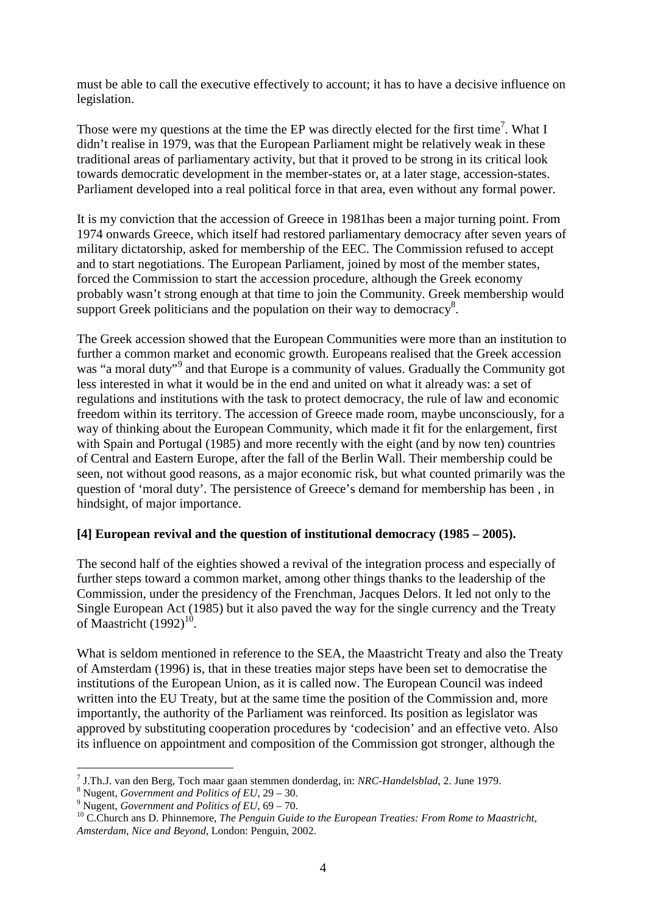must be able to call the executive effectively to account; it has to have a decisive influence on legislation.

Those were my questions at the time the EP was directly elected for the first time<sup>7</sup>. What I didn't realise in 1979, was that the European Parliament might be relatively weak in these traditional areas of parliamentary activity, but that it proved to be strong in its critical look towards democratic development in the member-states or, at a later stage, accession-states. Parliament developed into a real political force in that area, even without any formal power.

It is my conviction that the accession of Greece in 1981has been a major turning point. From 1974 onwards Greece, which itself had restored parliamentary democracy after seven years of military dictatorship, asked for membership of the EEC. The Commission refused to accept and to start negotiations. The European Parliament, joined by most of the member states, forced the Commission to start the accession procedure, although the Greek economy probably wasn't strong enough at that time to join the Community. Greek membership would support Greek politicians and the population on their way to democracy<sup>8</sup>.

The Greek accession showed that the European Communities were more than an institution to further a common market and economic growth. Europeans realised that the Greek accession was "a moral duty"<sup>9</sup> and that Europe is a community of values. Gradually the Community got less interested in what it would be in the end and united on what it already was: a set of regulations and institutions with the task to protect democracy, the rule of law and economic freedom within its territory. The accession of Greece made room, maybe unconsciously, for a way of thinking about the European Community, which made it fit for the enlargement, first with Spain and Portugal (1985) and more recently with the eight (and by now ten) countries of Central and Eastern Europe, after the fall of the Berlin Wall. Their membership could be seen, not without good reasons, as a major economic risk, but what counted primarily was the question of 'moral duty'. The persistence of Greece's demand for membership has been , in hindsight, of major importance.

### **[4] European revival and the question of institutional democracy (1985 – 2005).**

The second half of the eighties showed a revival of the integration process and especially of further steps toward a common market, among other things thanks to the leadership of the Commission, under the presidency of the Frenchman, Jacques Delors. It led not only to the Single European Act (1985) but it also paved the way for the single currency and the Treaty of Maastricht  $(1992)^{10}$ .

What is seldom mentioned in reference to the SEA, the Maastricht Treaty and also the Treaty of Amsterdam (1996) is, that in these treaties major steps have been set to democratise the institutions of the European Union, as it is called now. The European Council was indeed written into the EU Treaty, but at the same time the position of the Commission and, more importantly, the authority of the Parliament was reinforced. Its position as legislator was approved by substituting cooperation procedures by 'codecision' and an effective veto. Also its influence on appointment and composition of the Commission got stronger, although the

<sup>7</sup> J.Th.J. van den Berg, Toch maar gaan stemmen donderdag, in: *NRC-Handelsblad*, 2. June 1979.

<sup>8</sup> Nugent, *Government and Politics of EU*, 29 – 30.

<sup>9</sup> Nugent, *Government and Politics of EU*, 69 – 70.

<sup>&</sup>lt;sup>10</sup> C.Church ans D. Phinnemore, *The Penguin Guide to the European Treaties: From Rome to Maastricht*, *Amsterdam*, *Nice and Beyond*, London: Penguin, 2002.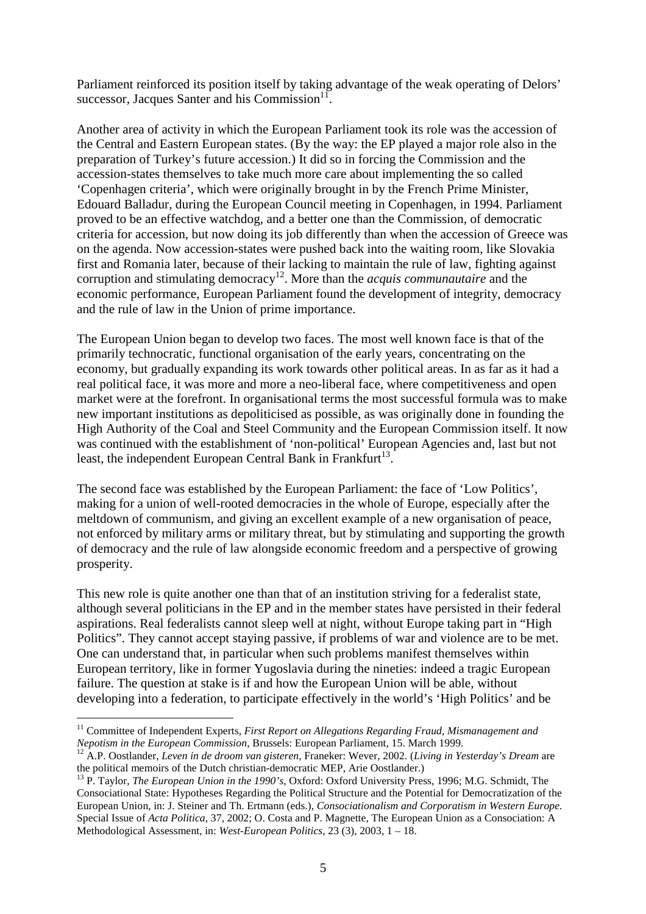Parliament reinforced its position itself by taking advantage of the weak operating of Delors' successor, Jacques Santer and his Commission<sup>11</sup>.

Another area of activity in which the European Parliament took its role was the accession of the Central and Eastern European states. (By the way: the EP played a major role also in the preparation of Turkey's future accession.) It did so in forcing the Commission and the accession-states themselves to take much more care about implementing the so called 'Copenhagen criteria', which were originally brought in by the French Prime Minister, Edouard Balladur, during the European Council meeting in Copenhagen, in 1994. Parliament proved to be an effective watchdog, and a better one than the Commission, of democratic criteria for accession, but now doing its job differently than when the accession of Greece was on the agenda. Now accession-states were pushed back into the waiting room, like Slovakia first and Romania later, because of their lacking to maintain the rule of law, fighting against corruption and stimulating democracy<sup>12</sup>. More than the *acquis communautaire* and the economic performance, European Parliament found the development of integrity, democracy and the rule of law in the Union of prime importance.

The European Union began to develop two faces. The most well known face is that of the primarily technocratic, functional organisation of the early years, concentrating on the economy, but gradually expanding its work towards other political areas. In as far as it had a real political face, it was more and more a neo-liberal face, where competitiveness and open market were at the forefront. In organisational terms the most successful formula was to make new important institutions as depoliticised as possible, as was originally done in founding the High Authority of the Coal and Steel Community and the European Commission itself. It now was continued with the establishment of 'non-political' European Agencies and, last but not least, the independent European Central Bank in Frankfurt<sup>13</sup>.

The second face was established by the European Parliament: the face of 'Low Politics', making for a union of well-rooted democracies in the whole of Europe, especially after the meltdown of communism, and giving an excellent example of a new organisation of peace, not enforced by military arms or military threat, but by stimulating and supporting the growth of democracy and the rule of law alongside economic freedom and a perspective of growing prosperity.

This new role is quite another one than that of an institution striving for a federalist state, although several politicians in the EP and in the member states have persisted in their federal aspirations. Real federalists cannot sleep well at night, without Europe taking part in "High Politics". They cannot accept staying passive, if problems of war and violence are to be met. One can understand that, in particular when such problems manifest themselves within European territory, like in former Yugoslavia during the nineties: indeed a tragic European failure. The question at stake is if and how the European Union will be able, without developing into a federation, to participate effectively in the world's 'High Politics' and be

<sup>&</sup>lt;sup>11</sup> Committee of Independent Experts, *First Report on Allegations Regarding Fraud, Mismanagement and Nepotism in the European Commission*, Brussels: European Parliament, 15. March 1999.

<sup>12</sup> A.P. Oostlander, *Leven in de droom van gisteren*, Franeker: Wever, 2002. (*Living in Yesterday's Dream* are the political memoirs of the Dutch christian-democratic MEP, Arie Oostlander.)

<sup>13</sup> P. Taylor, *The European Union in the 1990's*, Oxford: Oxford University Press, 1996; M.G. Schmidt, The Consociational State: Hypotheses Regarding the Political Structure and the Potential for Democratization of the European Union, in: J. Steiner and Th. Ertmann (eds.), *Consociationalism and Corporatism in Western Europe.* Special Issue of *Acta Politica*, 37, 2002; O. Costa and P. Magnette, The European Union as a Consociation: A Methodological Assessment, in: *West-European Politics*, 23 (3), 2003, 1 – 18.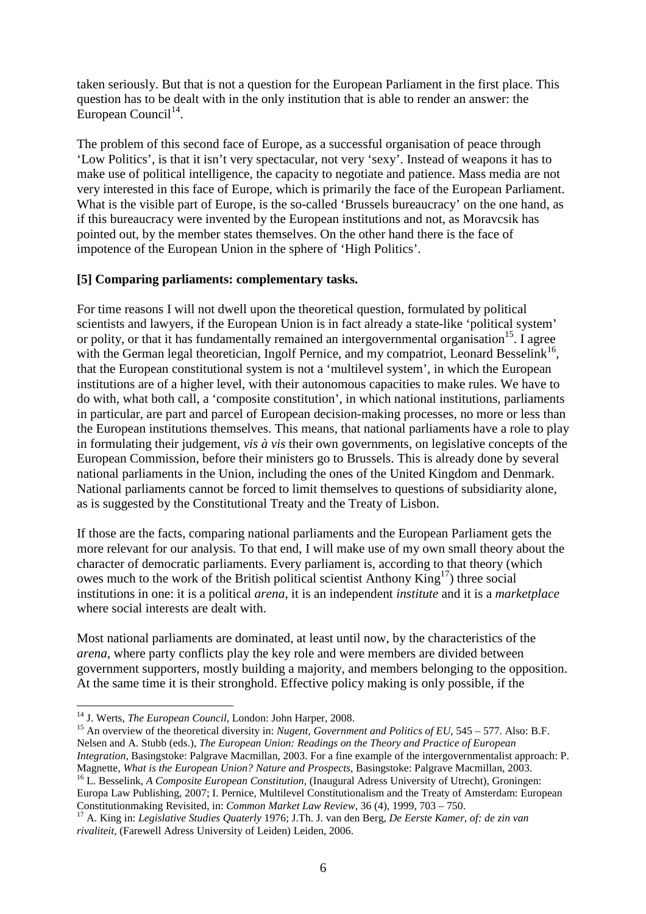taken seriously. But that is not a question for the European Parliament in the first place. This question has to be dealt with in the only institution that is able to render an answer: the European Council<sup>14</sup>.

The problem of this second face of Europe, as a successful organisation of peace through 'Low Politics', is that it isn't very spectacular, not very 'sexy'. Instead of weapons it has to make use of political intelligence, the capacity to negotiate and patience. Mass media are not very interested in this face of Europe, which is primarily the face of the European Parliament. What is the visible part of Europe, is the so-called 'Brussels bureaucracy' on the one hand, as if this bureaucracy were invented by the European institutions and not, as Moravcsik has pointed out, by the member states themselves. On the other hand there is the face of impotence of the European Union in the sphere of 'High Politics'.

### **[5] Comparing parliaments: complementary tasks.**

For time reasons I will not dwell upon the theoretical question, formulated by political scientists and lawyers, if the European Union is in fact already a state-like 'political system' or polity, or that it has fundamentally remained an intergovernmental organisation<sup>15</sup>. I agree with the German legal theoretician, Ingolf Pernice, and my compatriot, Leonard Besselink<sup>16</sup>, that the European constitutional system is not a 'multilevel system', in which the European institutions are of a higher level, with their autonomous capacities to make rules. We have to do with, what both call, a 'composite constitution', in which national institutions, parliaments in particular, are part and parcel of European decision-making processes, no more or less than the European institutions themselves. This means, that national parliaments have a role to play in formulating their judgement, *vis à vis* their own governments, on legislative concepts of the European Commission, before their ministers go to Brussels. This is already done by several national parliaments in the Union, including the ones of the United Kingdom and Denmark. National parliaments cannot be forced to limit themselves to questions of subsidiarity alone, as is suggested by the Constitutional Treaty and the Treaty of Lisbon.

If those are the facts, comparing national parliaments and the European Parliament gets the more relevant for our analysis. To that end, I will make use of my own small theory about the character of democratic parliaments. Every parliament is, according to that theory (which owes much to the work of the British political scientist Anthony  $\text{King}^{17}$ ) three social institutions in one: it is a political *arena*, it is an independent *institute* and it is a *marketplace* where social interests are dealt with.

Most national parliaments are dominated, at least until now, by the characteristics of the *arena*, where party conflicts play the key role and were members are divided between government supporters, mostly building a majority, and members belonging to the opposition. At the same time it is their stronghold. Effective policy making is only possible, if the

<sup>15</sup> An overview of the theoretical diversity in: *Nugent, Government and Politics of EU*, 545 – 577. Also: B.F. Nelsen and A. Stubb (eds.), *The European Union: Readings on the Theory and Practice of European Integration*, Basingstoke: Palgrave Macmillan, 2003. For a fine example of the intergovernmentalist approach: P. Magnette, *What is the European Union? Nature and Prospects*, Basingstoke: Palgrave Macmillan, 2003.

<sup>16</sup> L. Besselink, *A Composite European Constitution*, (Inaugural Adress University of Utrecht), Groningen: Europa Law Publishing, 2007; I. Pernice, Multilevel Constitutionalism and the Treaty of Amsterdam: European Constitutionmaking Revisited, in: *Common Market Law Review*, 36 (4), 1999, 703 – 750.

 $\overline{a}$ <sup>14</sup> J. Werts, *The European Council*, London: John Harper, 2008.

<sup>17</sup> A. King in: *Legislative Studies Quaterly* 1976; J.Th. J. van den Berg, *De Eerste Kamer, of: de zin van rivaliteit*, (Farewell Adress University of Leiden) Leiden, 2006.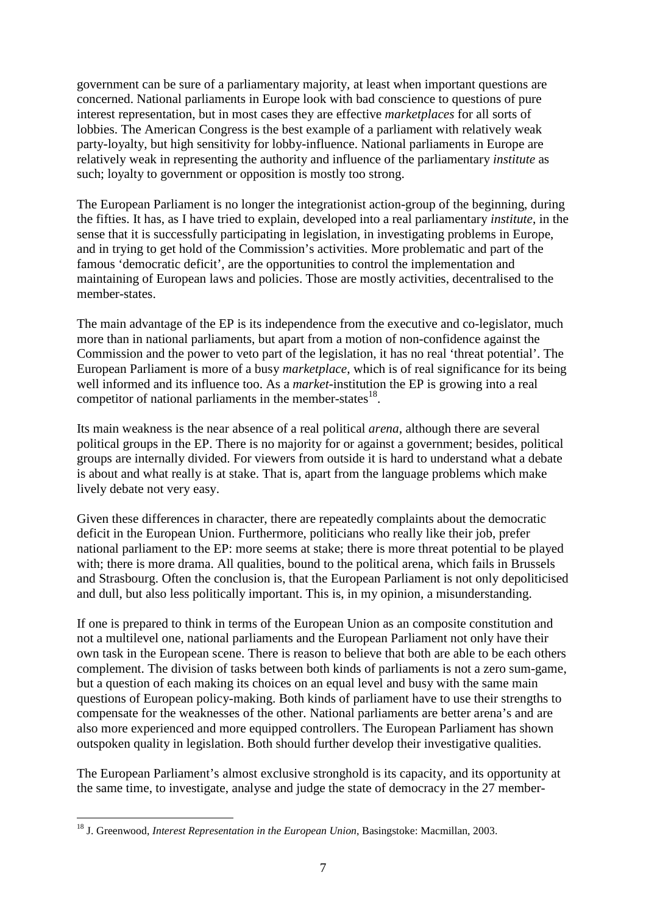government can be sure of a parliamentary majority, at least when important questions are concerned. National parliaments in Europe look with bad conscience to questions of pure interest representation, but in most cases they are effective *marketplaces* for all sorts of lobbies. The American Congress is the best example of a parliament with relatively weak party-loyalty, but high sensitivity for lobby-influence. National parliaments in Europe are relatively weak in representing the authority and influence of the parliamentary *institute* as such; loyalty to government or opposition is mostly too strong.

The European Parliament is no longer the integrationist action-group of the beginning, during the fifties. It has, as I have tried to explain, developed into a real parliamentary *institute*, in the sense that it is successfully participating in legislation, in investigating problems in Europe, and in trying to get hold of the Commission's activities. More problematic and part of the famous 'democratic deficit', are the opportunities to control the implementation and maintaining of European laws and policies. Those are mostly activities, decentralised to the member-states.

The main advantage of the EP is its independence from the executive and co-legislator, much more than in national parliaments, but apart from a motion of non-confidence against the Commission and the power to veto part of the legislation, it has no real 'threat potential'. The European Parliament is more of a busy *marketplace*, which is of real significance for its being well informed and its influence too. As a *market*-institution the EP is growing into a real competitor of national parliaments in the member-states $^{18}$ .

Its main weakness is the near absence of a real political *arena*, although there are several political groups in the EP. There is no majority for or against a government; besides, political groups are internally divided. For viewers from outside it is hard to understand what a debate is about and what really is at stake. That is, apart from the language problems which make lively debate not very easy.

Given these differences in character, there are repeatedly complaints about the democratic deficit in the European Union. Furthermore, politicians who really like their job, prefer national parliament to the EP: more seems at stake; there is more threat potential to be played with; there is more drama. All qualities, bound to the political arena, which fails in Brussels and Strasbourg. Often the conclusion is, that the European Parliament is not only depoliticised and dull, but also less politically important. This is, in my opinion, a misunderstanding.

If one is prepared to think in terms of the European Union as an composite constitution and not a multilevel one, national parliaments and the European Parliament not only have their own task in the European scene. There is reason to believe that both are able to be each others complement. The division of tasks between both kinds of parliaments is not a zero sum-game, but a question of each making its choices on an equal level and busy with the same main questions of European policy-making. Both kinds of parliament have to use their strengths to compensate for the weaknesses of the other. National parliaments are better arena's and are also more experienced and more equipped controllers. The European Parliament has shown outspoken quality in legislation. Both should further develop their investigative qualities.

The European Parliament's almost exclusive stronghold is its capacity, and its opportunity at the same time, to investigate, analyse and judge the state of democracy in the 27 member-

<sup>18</sup> J. Greenwood, *Interest Representation in the European Union*, Basingstoke: Macmillan, 2003.